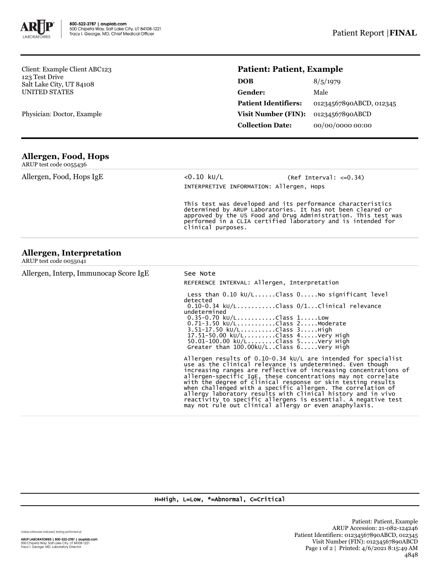

Client: Example Client ABC123 123 Test Drive Salt Lake City, UT 84108 UNITED STATES

Physician: Doctor, Example

## **Patient: Patient, Example**

| <b>DOB</b>                  | 8/5/1979                |
|-----------------------------|-------------------------|
| <b>Gender:</b>              | Male                    |
| <b>Patient Identifiers:</b> | 01234567890ABCD, 012345 |
| <b>Visit Number (FIN):</b>  | 01234567890ABCD         |
| <b>Collection Date:</b>     | 00/00/0000 00:00        |

| Allergen, Food, Hops |  |
|----------------------|--|
| $\blacksquare$       |  |

| ARUP test code 0055436                             |                                                                                                                                                                                                                                                                                    |                                                                                                                                                                                                                                                                                                                                                                                                                                                                                                                                                                                                 |  |  |  |
|----------------------------------------------------|------------------------------------------------------------------------------------------------------------------------------------------------------------------------------------------------------------------------------------------------------------------------------------|-------------------------------------------------------------------------------------------------------------------------------------------------------------------------------------------------------------------------------------------------------------------------------------------------------------------------------------------------------------------------------------------------------------------------------------------------------------------------------------------------------------------------------------------------------------------------------------------------|--|--|--|
| Allergen, Food, Hops IgE                           | $< 0.10$ ku/L                                                                                                                                                                                                                                                                      | $(Ref Interval: < = 0.34)$<br>INTERPRETIVE INFORMATION: Allergen, Hops                                                                                                                                                                                                                                                                                                                                                                                                                                                                                                                          |  |  |  |
|                                                    | This test was developed and its performance characteristics<br>determined by ARUP Laboratories. It has not been cleared or<br>approved by the US Food and Drug Administration. This test was<br>performed in a CLIA certified laboratory and is intended for<br>clinical purposes. |                                                                                                                                                                                                                                                                                                                                                                                                                                                                                                                                                                                                 |  |  |  |
| Allergen, Interpretation<br>ARUP test code 0055041 |                                                                                                                                                                                                                                                                                    |                                                                                                                                                                                                                                                                                                                                                                                                                                                                                                                                                                                                 |  |  |  |
| Allergen, Interp, Immunocap Score IgE              | See Note                                                                                                                                                                                                                                                                           |                                                                                                                                                                                                                                                                                                                                                                                                                                                                                                                                                                                                 |  |  |  |
|                                                    |                                                                                                                                                                                                                                                                                    | REFERENCE INTERVAL: Allergen, Interpretation                                                                                                                                                                                                                                                                                                                                                                                                                                                                                                                                                    |  |  |  |
|                                                    | detected<br>undetermined                                                                                                                                                                                                                                                           | Less than $0.10 \text{ kU/L}$ Class $0.1000$ significant level<br>$0.10-0.34$ kU/LClass $0/1$ Clinical relevance<br>$0.35 - 0.70$ kU/LClass 1Low<br>0.71-3.50 kU/LClass 2Moderate<br>3.51-17.50 kU/LClass 3High<br>17.51-50.00 kU/LClass 4Very High<br>50.01-100.00 ku/LClass 5Very High<br>Greater than 100.00kU/LClass 6Very High                                                                                                                                                                                                                                                             |  |  |  |
|                                                    |                                                                                                                                                                                                                                                                                    | Allergen results of 0.10-0.34 $kU/L$ are intended for specialist<br>use as the clinical relevance is undetermined. Even though<br>increasing ranges are reflective of increasing concentrations of<br>allergen-specific IgE, these concentrations may not correlate<br>with the degree of clinical response or skin testing results<br>when challenged with a specific allergen. The correlation of<br>allergy laboratory results with clinical history and in vivo<br>reactivity to specific allergens is essential. A negative test<br>may not rule out clinical allergy or even anaphylaxis. |  |  |  |

H=High, L=Low, \*=Abnormal, C=Critical

Unless otherwise indicated, testing performed at:

**ARUP LABORATORIES | 800-522-2787 | aruplab.com**<br>500 Chipeta Way, Salt Lake City, UT 84108-1221<br>Tracy I. George, MD, Laboratory Director

Patient: Patient, Example ARUP Accession: 21-082-124246 Patient Identifiers: 01234567890ABCD, 012345 Visit Number (FIN): 01234567890ABCD Page 1 of 2 | Printed: 4/6/2021 8:15:49 AM 4848